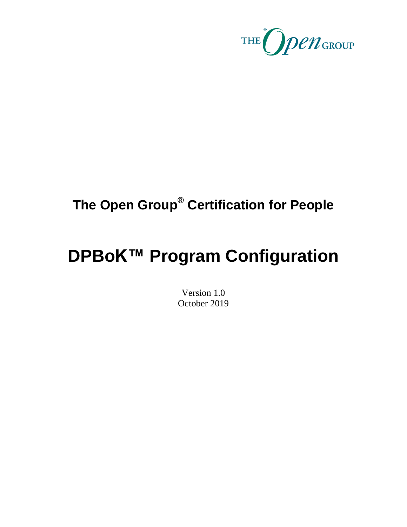

## **The Open Group® Certification for People**

# **DPBoK™ Program Configuration**

Version 1.0 October 2019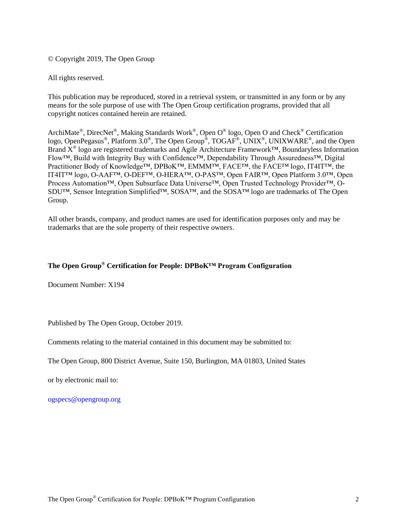© Copyright 2019, The Open Group

All rights reserved.

This publication may be reproduced, stored in a retrieval system, or transmitted in any form or by any means for the sole purpose of use with The Open Group certification programs, provided that all copyright notices contained herein are retained.

ArchiMate®, DirecNet®, Making Standards Work®, Open O® logo, Open O and Check® Certification logo, OpenPegasus®, Platform  $3.0^{\circ}$ , The Open Group®, TOGAF®, UNIX<sup>®</sup>, UNIXWARE®, and the Open Brand  $\hat{X}^{\circledast}$  logo are registered trademarks and Agile Architecture Framework™, Boundaryless Information Flow™, Build with Integrity Buy with Confidence™, Dependability Through Assuredness™, Digital Practitioner Body of Knowledge™, DPBoK™, EMMM™, FACE™, the FACE™ logo, IT4IT™, the IT4IT™ logo, O-AAF™, O-DEF™, O-HERA™, O-PAS™, Open FAIR™, Open Platform 3.0™, Open Process Automation™, Open Subsurface Data Universe™, Open Trusted Technology Provider™, O-SDU™, Sensor Integration Simplified™, SOSA™, and the SOSA™ logo are trademarks of The Open Group.

All other brands, company, and product names are used for identification purposes only and may be trademarks that are the sole property of their respective owners.

#### **The Open Group® Certification for People: DPBoK™ Program Configuration**

Document Number: X194

Published by The Open Group, October 2019.

Comments relating to the material contained in this document may be submitted to:

The Open Group, 800 District Avenue, Suite 150, Burlington, MA 01803, United States

or by electronic mail to:

[ogspecs@opengroup.org](mailto:ogspecs@opengroup.org)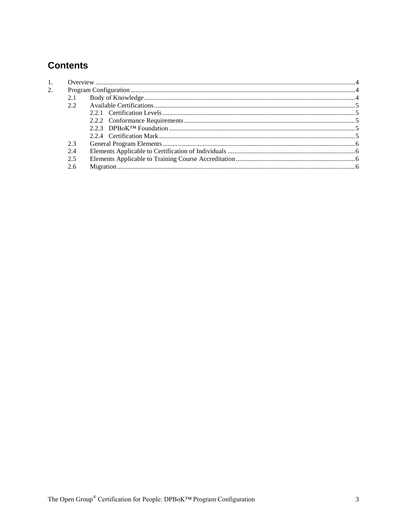## **Contents**

| 2. |     |  |  |
|----|-----|--|--|
|    | 2.1 |  |  |
|    | 22  |  |  |
|    |     |  |  |
|    |     |  |  |
|    |     |  |  |
|    |     |  |  |
|    | 2.3 |  |  |
|    | 2.4 |  |  |
|    | 2.5 |  |  |
|    | 2.6 |  |  |
|    |     |  |  |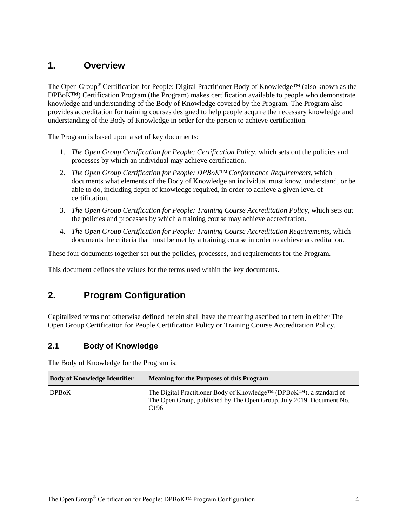## <span id="page-3-0"></span>**1. Overview**

The Open Group® Certification for People: Digital Practitioner Body of Knowledge™ (also known as the DPBoK™) Certification Program (the Program) makes certification available to people who demonstrate knowledge and understanding of the Body of Knowledge covered by the Program. The Program also provides accreditation for training courses designed to help people acquire the necessary knowledge and understanding of the Body of Knowledge in order for the person to achieve certification.

The Program is based upon a set of key documents:

- 1. *The Open Group Certification for People: Certification Policy*, which sets out the policies and processes by which an individual may achieve certification.
- 2. *The Open Group Certification for People: DPBoK™ Conformance Requirements*, which documents what elements of the Body of Knowledge an individual must know, understand, or be able to do, including depth of knowledge required, in order to achieve a given level of certification.
- 3. *The Open Group Certification for People: Training Course Accreditation Policy*, which sets out the policies and processes by which a training course may achieve accreditation.
- 4. *The Open Group Certification for People: Training Course Accreditation Requirements*, which documents the criteria that must be met by a training course in order to achieve accreditation.

These four documents together set out the policies, processes, and requirements for the Program.

<span id="page-3-1"></span>This document defines the values for the terms used within the key documents.

## **2. Program Configuration**

Capitalized terms not otherwise defined herein shall have the meaning ascribed to them in either The Open Group Certification for People Certification Policy or Training Course Accreditation Policy.

#### <span id="page-3-2"></span>**2.1 Body of Knowledge**

The Body of Knowledge for the Program is:

| <b>Body of Knowledge Identifier</b> | Meaning for the Purposes of this Program                                                                                                                        |
|-------------------------------------|-----------------------------------------------------------------------------------------------------------------------------------------------------------------|
| <b>DPBoK</b>                        | The Digital Practitioner Body of Knowledge™ (DPBoK™), a standard of<br>The Open Group, published by The Open Group, July 2019, Document No.<br>C <sub>196</sub> |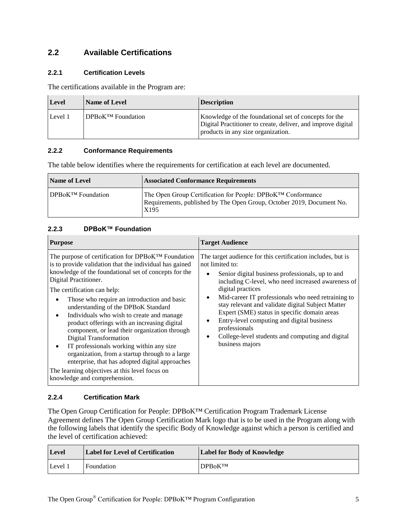## <span id="page-4-0"></span>**2.2 Available Certifications**

#### <span id="page-4-1"></span>**2.2.1 Certification Levels**

The certifications available in the Program are:

| <b>Level</b> | Name of Level            | <b>Description</b>                                                                                                                                          |
|--------------|--------------------------|-------------------------------------------------------------------------------------------------------------------------------------------------------------|
| Level 1      | <b>DPBoK™</b> Foundation | Knowledge of the foundational set of concepts for the<br>Digital Practitioner to create, deliver, and improve digital<br>products in any size organization. |

#### <span id="page-4-2"></span>**2.2.2 Conformance Requirements**

The table below identifies where the requirements for certification at each level are documented.

| <b>Name of Level</b>     | <b>Associated Conformance Requirements</b>                                                                                                   |
|--------------------------|----------------------------------------------------------------------------------------------------------------------------------------------|
| <b>DPBoK™ Foundation</b> | The Open Group Certification for People: DPBoK™ Conformance<br>Requirements, published by The Open Group, October 2019, Document No.<br>X195 |

#### <span id="page-4-3"></span>**2.2.3 DPBoK™ Foundation**

| <b>Purpose</b>                                                                                                                                                                                                                                                                                                                                                                                                                                                                                                                                                                                                                                                                                                                        | <b>Target Audience</b>                                                                                                                                                                                                                                                                                                                                                                                                                                                                                                                        |
|---------------------------------------------------------------------------------------------------------------------------------------------------------------------------------------------------------------------------------------------------------------------------------------------------------------------------------------------------------------------------------------------------------------------------------------------------------------------------------------------------------------------------------------------------------------------------------------------------------------------------------------------------------------------------------------------------------------------------------------|-----------------------------------------------------------------------------------------------------------------------------------------------------------------------------------------------------------------------------------------------------------------------------------------------------------------------------------------------------------------------------------------------------------------------------------------------------------------------------------------------------------------------------------------------|
| The purpose of certification for DPBoK™ Foundation<br>is to provide validation that the individual has gained<br>knowledge of the foundational set of concepts for the<br>Digital Practitioner.<br>The certification can help:<br>Those who require an introduction and basic<br>understanding of the DPBoK Standard<br>Individuals who wish to create and manage<br>product offerings with an increasing digital<br>component, or lead their organization through<br>Digital Transformation<br>IT professionals working within any size<br>٠<br>organization, from a startup through to a large<br>enterprise, that has adopted digital approaches<br>The learning objectives at this level focus on<br>knowledge and comprehension. | The target audience for this certification includes, but is<br>not limited to:<br>Senior digital business professionals, up to and<br>including C-level, who need increased awareness of<br>digital practices<br>Mid-career IT professionals who need retraining to<br>$\bullet$<br>stay relevant and validate digital Subject Matter<br>Expert (SME) status in specific domain areas<br>Entry-level computing and digital business<br>٠<br>professionals<br>College-level students and computing and digital<br>$\bullet$<br>business majors |

#### <span id="page-4-4"></span>**2.2.4 Certification Mark**

The Open Group Certification for People: DPBoK™ Certification Program Trademark License Agreement defines The Open Group Certification Mark logo that is to be used in the Program along with the following labels that identify the specific Body of Knowledge against which a person is certified and the level of certification achieved:

| <b>Level</b> | <b>Label for Level of Certification</b> | <b>Label for Body of Knowledge</b> |
|--------------|-----------------------------------------|------------------------------------|
| Level 1      | Foundation                              | <b>DPBoKTM</b>                     |